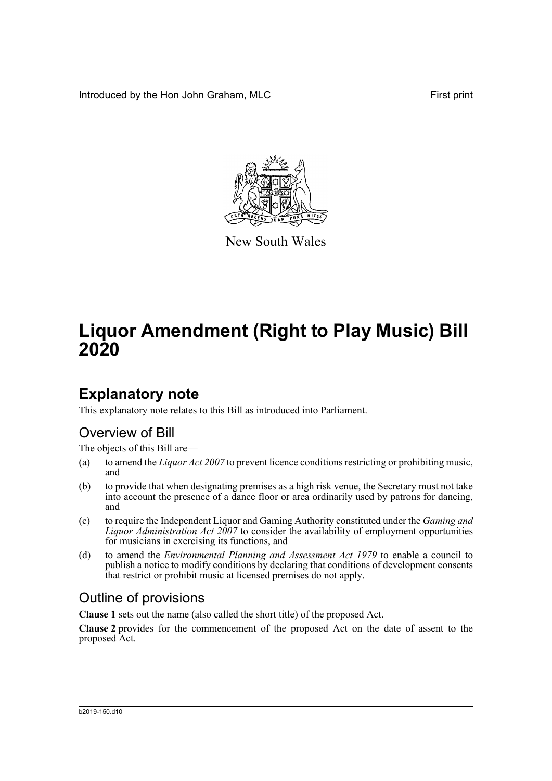Introduced by the Hon John Graham, MLC **First print** First print



New South Wales

# **Liquor Amendment (Right to Play Music) Bill 2020**

# **Explanatory note**

This explanatory note relates to this Bill as introduced into Parliament.

## Overview of Bill

The objects of this Bill are—

- (a) to amend the *Liquor Act 2007* to prevent licence conditions restricting or prohibiting music, and
- (b) to provide that when designating premises as a high risk venue, the Secretary must not take into account the presence of a dance floor or area ordinarily used by patrons for dancing, and
- (c) to require the Independent Liquor and Gaming Authority constituted under the *Gaming and Liquor Administration Act 2007* to consider the availability of employment opportunities for musicians in exercising its functions, and
- (d) to amend the *Environmental Planning and Assessment Act 1979* to enable a council to publish a notice to modify conditions by declaring that conditions of development consents that restrict or prohibit music at licensed premises do not apply.

## Outline of provisions

**Clause 1** sets out the name (also called the short title) of the proposed Act.

**Clause 2** provides for the commencement of the proposed Act on the date of assent to the proposed Act.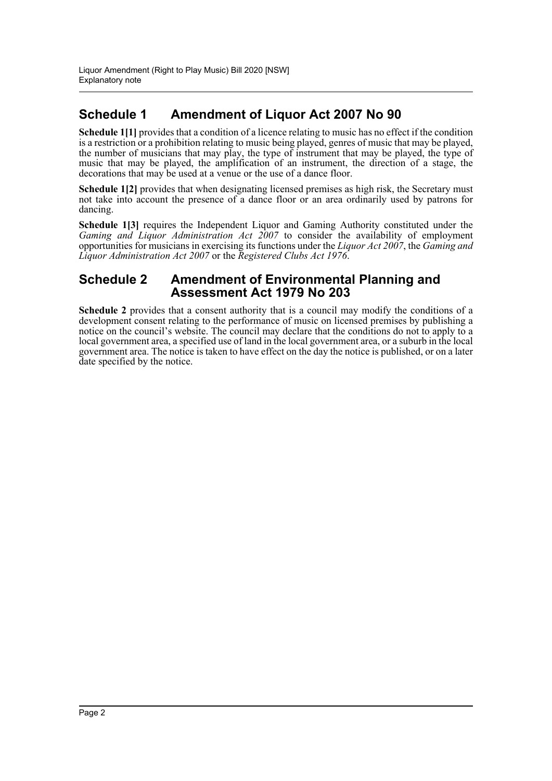## **Schedule 1 Amendment of Liquor Act 2007 No 90**

**Schedule 1[1]** provides that a condition of a licence relating to music has no effect if the condition is a restriction or a prohibition relating to music being played, genres of music that may be played, the number of musicians that may play, the type of instrument that may be played, the type of music that may be played, the amplification of an instrument, the direction of a stage, the decorations that may be used at a venue or the use of a dance floor.

**Schedule 1[2]** provides that when designating licensed premises as high risk, the Secretary must not take into account the presence of a dance floor or an area ordinarily used by patrons for dancing.

**Schedule 1[3]** requires the Independent Liquor and Gaming Authority constituted under the *Gaming and Liquor Administration Act 2007* to consider the availability of employment opportunities for musicians in exercising its functions under the *Liquor Act 2007*, the *Gaming and Liquor Administration Act 2007* or the *Registered Clubs Act 1976*.

### **Schedule 2 Amendment of Environmental Planning and Assessment Act 1979 No 203**

**Schedule 2** provides that a consent authority that is a council may modify the conditions of a development consent relating to the performance of music on licensed premises by publishing a notice on the council's website. The council may declare that the conditions do not to apply to a local government area, a specified use of land in the local government area, or a suburb in the local government area. The notice is taken to have effect on the day the notice is published, or on a later date specified by the notice.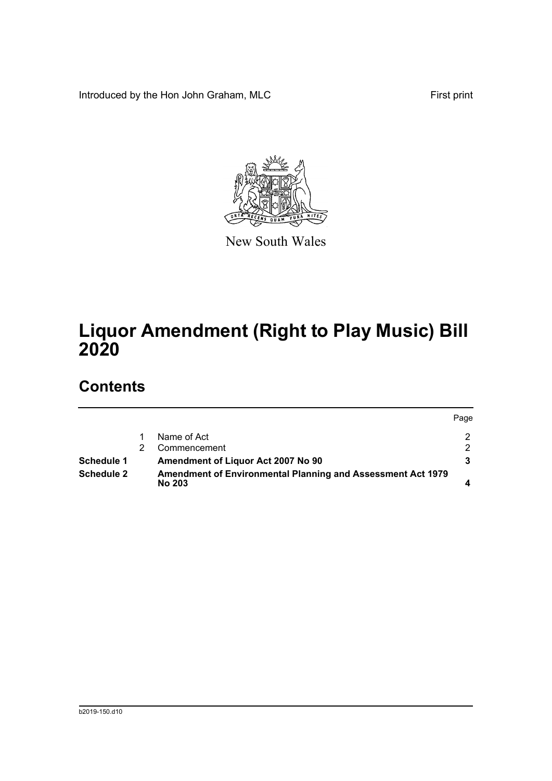Introduced by the Hon John Graham, MLC First print



New South Wales

# **Liquor Amendment (Right to Play Music) Bill 2020**

## **Contents**

|                   |                                                                              | Page |
|-------------------|------------------------------------------------------------------------------|------|
|                   | Name of Act                                                                  |      |
|                   | Commencement                                                                 | ົ    |
| Schedule 1        | Amendment of Liquor Act 2007 No 90                                           |      |
| <b>Schedule 2</b> | Amendment of Environmental Planning and Assessment Act 1979<br><b>No 203</b> |      |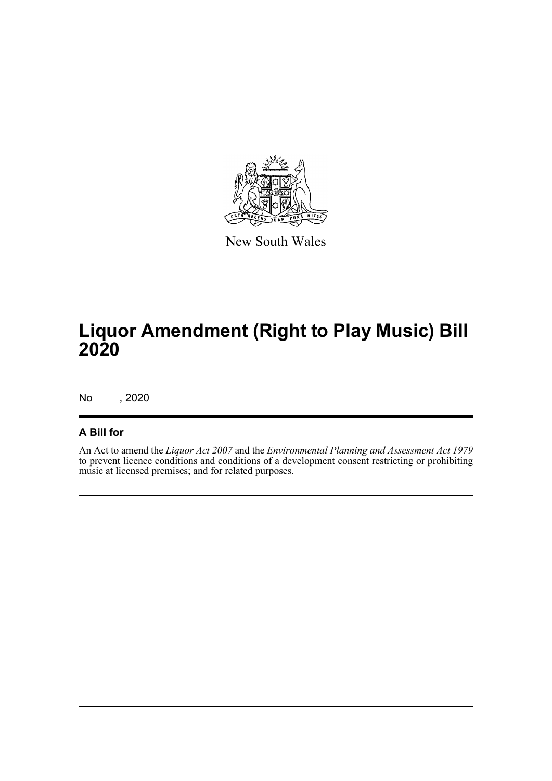

New South Wales

# **Liquor Amendment (Right to Play Music) Bill 2020**

No , 2020

### **A Bill for**

An Act to amend the *Liquor Act 2007* and the *Environmental Planning and Assessment Act 1979* to prevent licence conditions and conditions of a development consent restricting or prohibiting music at licensed premises; and for related purposes.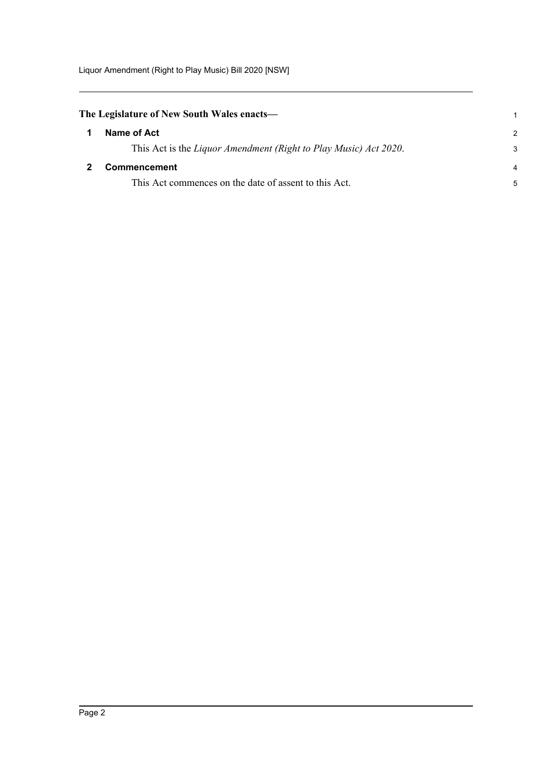Liquor Amendment (Right to Play Music) Bill 2020 [NSW]

<span id="page-4-1"></span><span id="page-4-0"></span>

| The Legislature of New South Wales enacts— |                                                                  | 1             |
|--------------------------------------------|------------------------------------------------------------------|---------------|
|                                            | Name of Act                                                      | $\mathcal{P}$ |
|                                            | This Act is the Liquor Amendment (Right to Play Music) Act 2020. | 3             |
|                                            | <b>Commencement</b>                                              | 4             |
|                                            | This Act commences on the date of assent to this Act.            | 5             |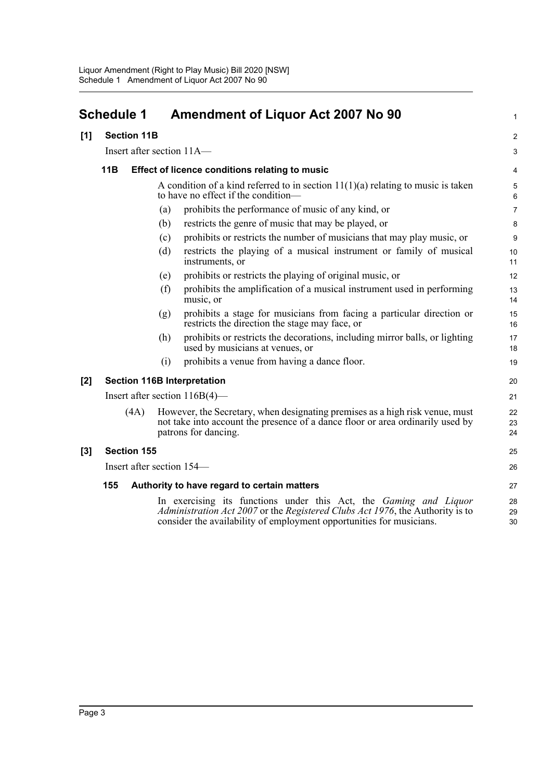## <span id="page-5-0"></span>**Schedule 1 Amendment of Liquor Act 2007 No 90**

#### **[1] Section 11B**

Insert after section 11A—

### **11B Effect of licence conditions relating to music**

A condition of a kind referred to in section  $11(1)(a)$  relating to music is taken to have no effect if the condition1

 $\mathfrak{p}$ 3

- (a) prohibits the performance of music of any kind, or
- (b) restricts the genre of music that may be played, or
- (c) prohibits or restricts the number of musicians that may play music, or
- (d) restricts the playing of a musical instrument or family of musical instruments, or
- (e) prohibits or restricts the playing of original music, or
- (f) prohibits the amplification of a musical instrument used in performing music, or
- (g) prohibits a stage for musicians from facing a particular direction or restricts the direction the stage may face, or
- (h) prohibits or restricts the decorations, including mirror balls, or lighting used by musicians at venues, or
- (i) prohibits a venue from having a dance floor.

### **[2] Section 116B Interpretation**

Insert after section 116B(4)—

(4A) However, the Secretary, when designating premises as a high risk venue, must not take into account the presence of a dance floor or area ordinarily used by patrons for dancing.

#### **[3] Section 155**

Insert after section 154—

#### **155 Authority to have regard to certain matters**

In exercising its functions under this Act, the *Gaming and Liquor Administration Act 2007* or the *Registered Clubs Act 1976*, the Authority is to consider the availability of employment opportunities for musicians.